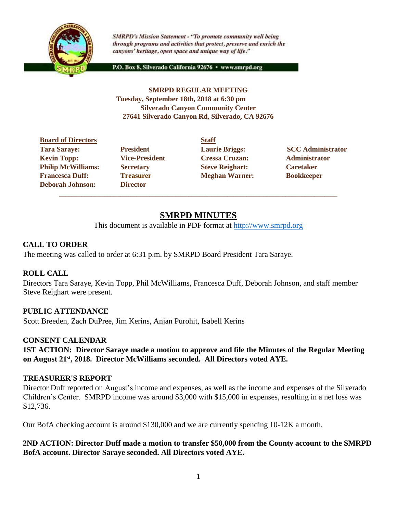

**SMRPD's Mission Statement - "To promote community well being** through programs and activities that protect, preserve and enrich the canyons' heritage, open space and unique way of life."

P.O. Box 8, Silverado California 92676 · www.smrpd.org

### **SMRPD REGULAR MEETING Tuesday, September 18th, 2018 at 6:30 pm Silverado Canyon Community Center 27641 Silverado Canyon Rd, Silverado, CA 92676**

**Board of Directors Staff** Tara Saraye: **President Laurie Briggs:** SCC Administrator **Kevin Topp: Vice-President Cressa Cruzan: Administrator Philip McWilliams: Secretary <b>Steve Reighart:** Caretaker **Francesca Duff: Treasurer Meghan Warner: Bookkeeper Deborah Johnson: Director**

# **SMRPD MINUTES**

\_\_\_\_\_\_\_\_\_\_\_\_\_\_\_\_\_\_\_\_\_\_\_\_\_\_\_\_\_\_\_\_\_\_\_\_\_\_\_\_\_\_\_\_\_\_\_\_\_\_\_\_\_\_\_\_\_\_\_\_\_\_\_\_\_\_\_\_\_\_\_\_\_\_\_\_\_\_\_\_\_\_\_\_\_\_

This document is available in PDF format at [http://www.smrpd.org](http://www.smrpd.org/)

# **CALL TO ORDER**

The meeting was called to order at 6:31 p.m. by SMRPD Board President Tara Saraye.

# **ROLL CALL**

Directors Tara Saraye, Kevin Topp, Phil McWilliams, Francesca Duff, Deborah Johnson, and staff member Steve Reighart were present.

# **PUBLIC ATTENDANCE**

Scott Breeden, Zach DuPree, Jim Kerins, Anjan Purohit, Isabell Kerins

# **CONSENT CALENDAR**

**1ST ACTION: Director Saraye made a motion to approve and file the Minutes of the Regular Meeting on August 21st , 2018. Director McWilliams seconded. All Directors voted AYE.**

### **TREASURER'S REPORT**

Director Duff reported on August's income and expenses, as well as the income and expenses of the Silverado Children's Center. SMRPD income was around \$3,000 with \$15,000 in expenses, resulting in a net loss was \$12,736.

Our BofA checking account is around \$130,000 and we are currently spending 10-12K a month.

**2ND ACTION: Director Duff made a motion to transfer \$50,000 from the County account to the SMRPD BofA account. Director Saraye seconded. All Directors voted AYE.**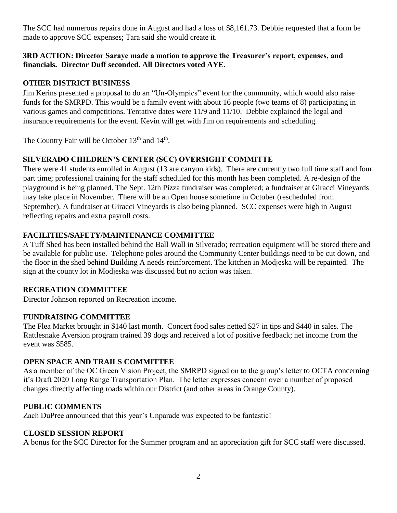The SCC had numerous repairs done in August and had a loss of \$8,161.73. Debbie requested that a form be made to approve SCC expenses; Tara said she would create it.

### **3RD ACTION: Director Saraye made a motion to approve the Treasurer's report, expenses, and financials. Director Duff seconded. All Directors voted AYE.**

## **OTHER DISTRICT BUSINESS**

Jim Kerins presented a proposal to do an "Un-Olympics" event for the community, which would also raise funds for the SMRPD. This would be a family event with about 16 people (two teams of 8) participating in various games and competitions. Tentative dates were 11/9 and 11/10. Debbie explained the legal and insurance requirements for the event. Kevin will get with Jim on requirements and scheduling.

The Country Fair will be October  $13<sup>th</sup>$  and  $14<sup>th</sup>$ .

# **SILVERADO CHILDREN'S CENTER (SCC) OVERSIGHT COMMITTE**

There were 41 students enrolled in August (13 are canyon kids). There are currently two full time staff and four part time; professional training for the staff scheduled for this month has been completed. A re-design of the playground is being planned. The Sept. 12th Pizza fundraiser was completed; a fundraiser at Giracci Vineyards may take place in November. There will be an Open house sometime in October (rescheduled from September). A fundraiser at Giracci Vineyards is also being planned. SCC expenses were high in August reflecting repairs and extra payroll costs.

### **FACILITIES/SAFETY/MAINTENANCE COMMITTEE**

A Tuff Shed has been installed behind the Ball Wall in Silverado; recreation equipment will be stored there and be available for public use. Telephone poles around the Community Center buildings need to be cut down, and the floor in the shed behind Building A needs reinforcement. The kitchen in Modjeska will be repainted. The sign at the county lot in Modjeska was discussed but no action was taken.

### **RECREATION COMMITTEE**

Director Johnson reported on Recreation income.

### **FUNDRAISING COMMITTEE**

The Flea Market brought in \$140 last month. Concert food sales netted \$27 in tips and \$440 in sales. The Rattlesnake Aversion program trained 39 dogs and received a lot of positive feedback; net income from the event was \$585.

### **OPEN SPACE AND TRAILS COMMITTEE**

As a member of the OC Green Vision Project, the SMRPD signed on to the group's letter to OCTA concerning it's Draft 2020 Long Range Transportation Plan. The letter expresses concern over a number of proposed changes directly affecting roads within our District (and other areas in Orange County).

### **PUBLIC COMMENTS**

Zach DuPree announced that this year's Unparade was expected to be fantastic!

### **CLOSED SESSION REPORT**

A bonus for the SCC Director for the Summer program and an appreciation gift for SCC staff were discussed.